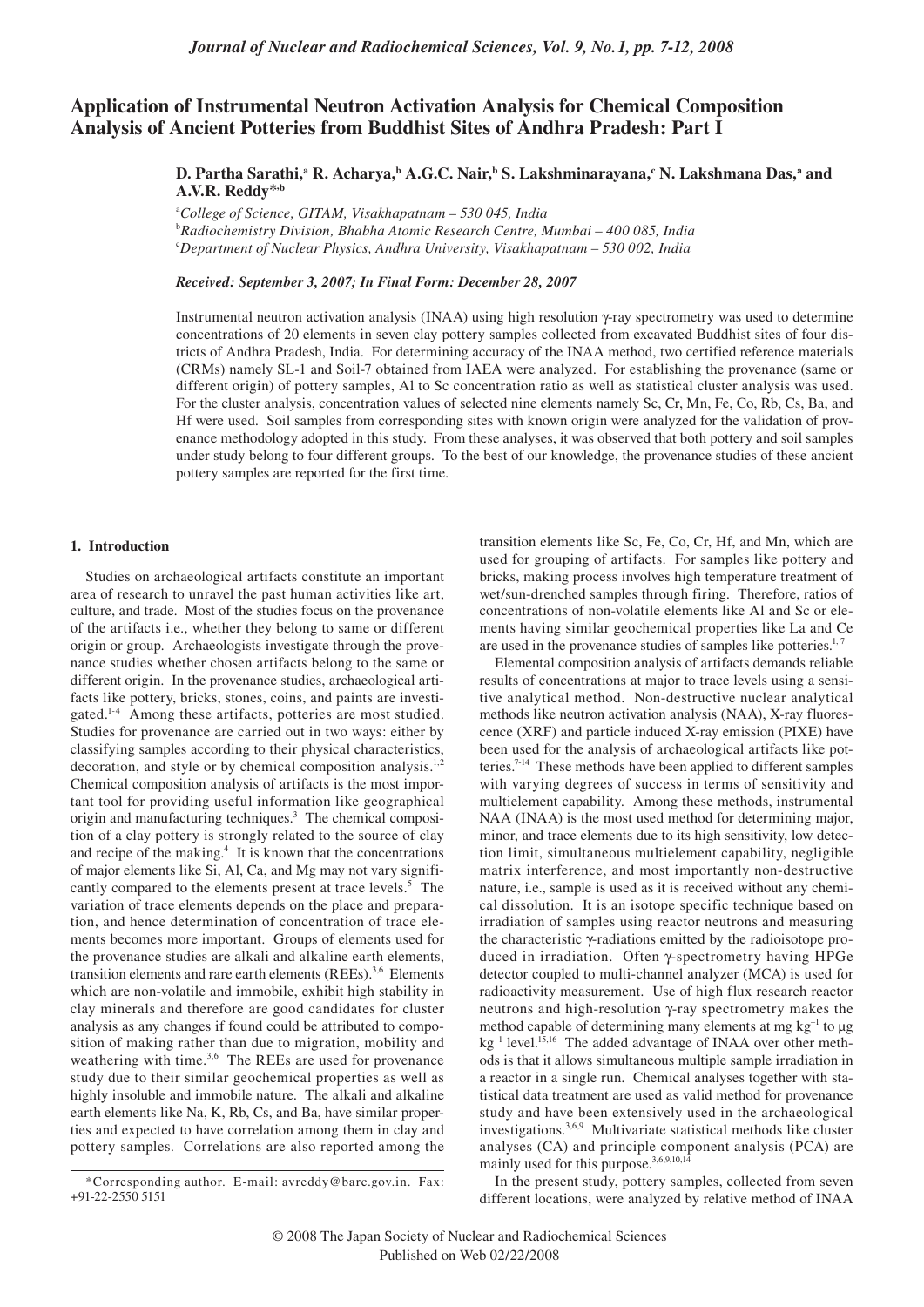# **Application of Instrumental Neutron Activation Analysis for Chemical Composition Analysis of Ancient Potteries from Buddhist Sites of Andhra Pradesh: Part I**

D. Partha Sarathi,ª R. Acharya,ʰ A.G.C. Nair,ʰ S. Lakshminarayana,¢ N. Lakshmana Das,ª and **A.V.R. Reddy\*,b**

a *College of Science, GITAM, Visakhapatnam – 530 045, India* b *Radiochemistry Division, Bhabha Atomic Research Centre, Mumbai – 400 085, India* c *Department of Nuclear Physics, Andhra University, Visakhapatnam – 530 002, India*

# *Received: September 3, 2007; In Final Form: December 28, 2007*

Instrumental neutron activation analysis (INAA) using high resolution γ-ray spectrometry was used to determine concentrations of 20 elements in seven clay pottery samples collected from excavated Buddhist sites of four districts of Andhra Pradesh, India. For determining accuracy of the INAA method, two certified reference materials (CRMs) namely SL-1 and Soil-7 obtained from IAEA were analyzed. For establishing the provenance (same or different origin) of pottery samples, Al to Sc concentration ratio as well as statistical cluster analysis was used. For the cluster analysis, concentration values of selected nine elements namely Sc, Cr, Mn, Fe, Co, Rb, Cs, Ba, and Hf were used. Soil samples from corresponding sites with known origin were analyzed for the validation of provenance methodology adopted in this study. From these analyses, it was observed that both pottery and soil samples under study belong to four different groups. To the best of our knowledge, the provenance studies of these ancient pottery samples are reported for the first time.

#### **1. Introduction**

Studies on archaeological artifacts constitute an important area of research to unravel the past human activities like art, culture, and trade. Most of the studies focus on the provenance of the artifacts i.e., whether they belong to same or different origin or group. Archaeologists investigate through the provenance studies whether chosen artifacts belong to the same or different origin. In the provenance studies, archaeological artifacts like pottery, bricks, stones, coins, and paints are investigated.1-4 Among these artifacts, potteries are most studied. Studies for provenance are carried out in two ways: either by classifying samples according to their physical characteristics, decoration, and style or by chemical composition analysis.<sup>1,2</sup> Chemical composition analysis of artifacts is the most important tool for providing useful information like geographical origin and manufacturing techniques.<sup>3</sup> The chemical composition of a clay pottery is strongly related to the source of clay and recipe of the making.<sup>4</sup> It is known that the concentrations of major elements like Si, Al, Ca, and Mg may not vary significantly compared to the elements present at trace levels.<sup>5</sup> The variation of trace elements depends on the place and preparation, and hence determination of concentration of trace elements becomes more important. Groups of elements used for the provenance studies are alkali and alkaline earth elements, transition elements and rare earth elements (REEs).<sup>3,6</sup> Elements which are non-volatile and immobile, exhibit high stability in clay minerals and therefore are good candidates for cluster analysis as any changes if found could be attributed to composition of making rather than due to migration, mobility and weathering with time.<sup>3,6</sup> The REEs are used for provenance study due to their similar geochemical properties as well as highly insoluble and immobile nature. The alkali and alkaline earth elements like Na, K, Rb, Cs, and Ba, have similar properties and expected to have correlation among them in clay and pottery samples. Correlations are also reported among the transition elements like Sc, Fe, Co, Cr, Hf, and Mn, which are used for grouping of artifacts. For samples like pottery and bricks, making process involves high temperature treatment of wet/sun-drenched samples through firing. Therefore, ratios of concentrations of non-volatile elements like Al and Sc or elements having similar geochemical properties like La and Ce are used in the provenance studies of samples like potteries. $<sup>1</sup>$ ,</sup>

Elemental composition analysis of artifacts demands reliable results of concentrations at major to trace levels using a sensitive analytical method. Non-destructive nuclear analytical methods like neutron activation analysis (NAA), X-ray fluorescence (XRF) and particle induced X-ray emission (PIXE) have been used for the analysis of archaeological artifacts like potteries.7-14 These methods have been applied to different samples with varying degrees of success in terms of sensitivity and multielement capability. Among these methods, instrumental NAA (INAA) is the most used method for determining major, minor, and trace elements due to its high sensitivity, low detection limit, simultaneous multielement capability, negligible matrix interference, and most importantly non-destructive nature, i.e., sample is used as it is received without any chemical dissolution. It is an isotope specific technique based on irradiation of samples using reactor neutrons and measuring the characteristic γ-radiations emitted by the radioisotope produced in irradiation. Often γ-spectrometry having HPGe detector coupled to multi-channel analyzer (MCA) is used for radioactivity measurement. Use of high flux research reactor neutrons and high-resolution γ-ray spectrometry makes the method capable of determining many elements at mg  $kg^{-1}$  to  $\mu$ g kg<sup>-1</sup> level.<sup>15,16</sup> The added advantage of INAA over other methods is that it allows simultaneous multiple sample irradiation in a reactor in a single run. Chemical analyses together with statistical data treatment are used as valid method for provenance study and have been extensively used in the archaeological investigations.3,6,9 Multivariate statistical methods like cluster analyses (CA) and principle component analysis (PCA) are mainly used for this purpose.<sup>3,6,9,10,14</sup>

In the present study, pottery samples, collected from seven different locations, were analyzed by relative method of INAA

<sup>\*</sup>Corresponding author. E-mail: avreddy@barc.gov.in. Fax: +91-22-2550 5151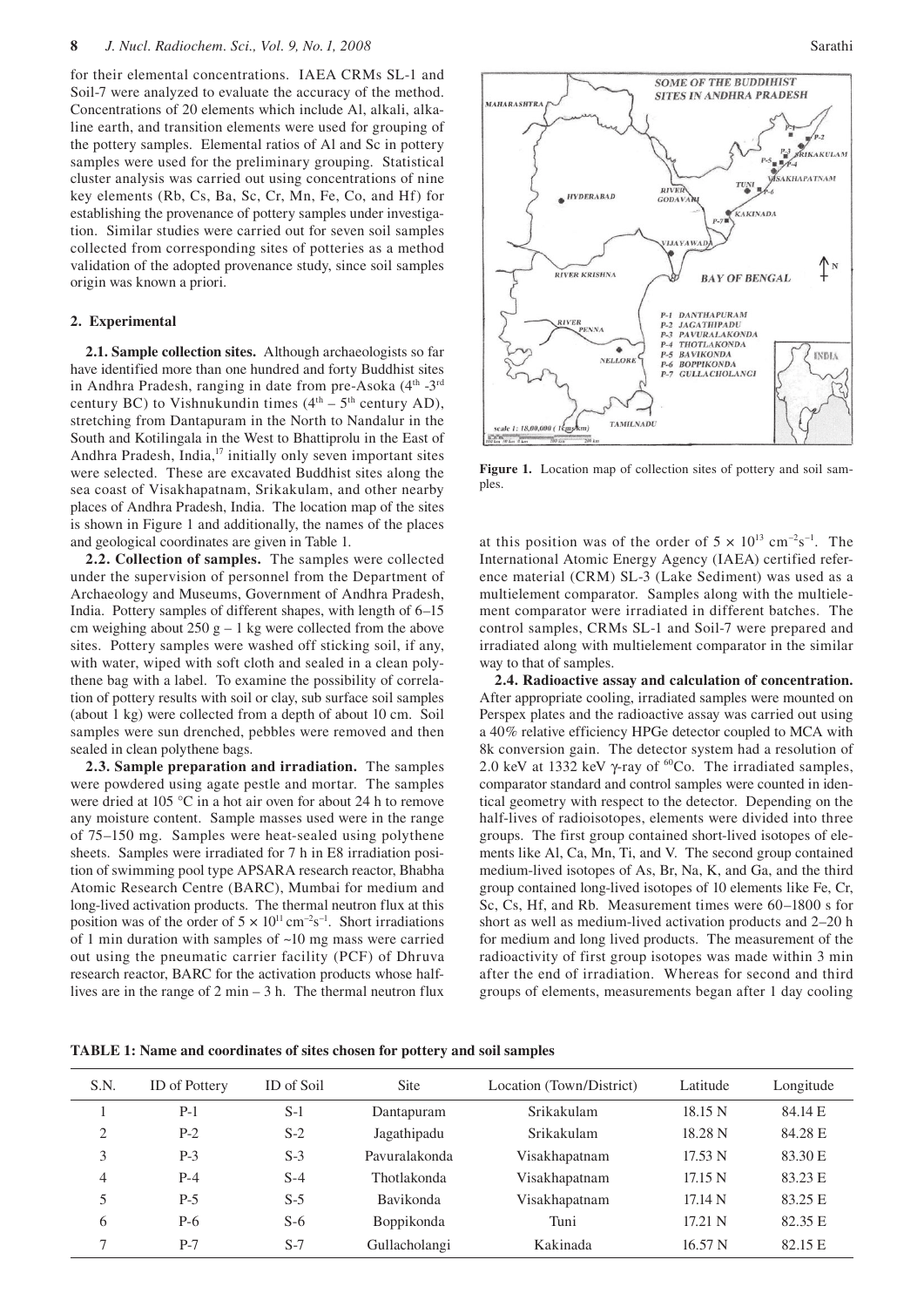for their elemental concentrations. IAEA CRMs SL-1 and Soil-7 were analyzed to evaluate the accuracy of the method. Concentrations of 20 elements which include Al, alkali, alkaline earth, and transition elements were used for grouping of the pottery samples. Elemental ratios of Al and Sc in pottery samples were used for the preliminary grouping. Statistical cluster analysis was carried out using concentrations of nine key elements (Rb, Cs, Ba, Sc, Cr, Mn, Fe, Co, and Hf) for establishing the provenance of pottery samples under investigation. Similar studies were carried out for seven soil samples collected from corresponding sites of potteries as a method validation of the adopted provenance study, since soil samples origin was known a priori.

# **2. Experimental**

**2.1. Sample collection sites.** Although archaeologists so far have identified more than one hundred and forty Buddhist sites in Andhra Pradesh, ranging in date from pre-Asoka (4<sup>th</sup> -3<sup>rd</sup> century BC) to Vishnukundin times  $(4<sup>th</sup> – 5<sup>th</sup>$  century AD), stretching from Dantapuram in the North to Nandalur in the South and Kotilingala in the West to Bhattiprolu in the East of Andhra Pradesh, India,<sup>17</sup> initially only seven important sites were selected. These are excavated Buddhist sites along the sea coast of Visakhapatnam, Srikakulam, and other nearby places of Andhra Pradesh, India. The location map of the sites is shown in Figure 1 and additionally, the names of the places and geological coordinates are given in Table 1.

**2.2. Collection of samples.** The samples were collected under the supervision of personnel from the Department of Archaeology and Museums, Government of Andhra Pradesh, India. Pottery samples of different shapes, with length of 6–15 cm weighing about  $250$  g – 1 kg were collected from the above sites. Pottery samples were washed off sticking soil, if any, with water, wiped with soft cloth and sealed in a clean polythene bag with a label. To examine the possibility of correlation of pottery results with soil or clay, sub surface soil samples (about 1 kg) were collected from a depth of about 10 cm. Soil samples were sun drenched, pebbles were removed and then sealed in clean polythene bags.

**2.3. Sample preparation and irradiation.**The samples were powdered using agate pestle and mortar. The samples were dried at 105 °C in a hot air oven for about 24 h to remove any moisture content. Sample masses used were in the range of 75–150 mg. Samples were heat-sealed using polythene sheets. Samples were irradiated for 7 h in E8 irradiation position of swimming pool type APSARA research reactor, Bhabha Atomic Research Centre (BARC), Mumbai for medium and long-lived activation products. The thermal neutron flux at this position was of the order of  $5 \times 10^{11} \text{ cm}^{-2} \text{s}^{-1}$ . Short irradiations of 1 min duration with samples of ~10 mg mass were carried out using the pneumatic carrier facility (PCF) of Dhruva research reactor, BARC for the activation products whose halflives are in the range of 2 min – 3 h. The thermal neutron flux



Figure 1. Location map of collection sites of pottery and soil samples.

at this position was of the order of  $5 \times 10^{13}$  cm<sup>-2</sup>s<sup>-1</sup>. The International Atomic Energy Agency (IAEA) certified reference material (CRM) SL-3 (Lake Sediment) was used as a multielement comparator. Samples along with the multielement comparator were irradiated in different batches. The control samples, CRMs SL-1 and Soil-7 were prepared and irradiated along with multielement comparator in the similar way to that of samples.

**2.4. Radioactive assay and calculation of concentration.**  After appropriate cooling, irradiated samples were mounted on Perspex plates and the radioactive assay was carried out using a 40% relative efficiency HPGe detector coupled to MCA with 8k conversion gain. The detector system had a resolution of 2.0 keV at 1332 keV  $\gamma$ -ray of <sup>60</sup>Co. The irradiated samples, comparator standard and control samples were counted in identical geometry with respect to the detector. Depending on the half-lives of radioisotopes, elements were divided into three groups. The first group contained short-lived isotopes of elements like Al, Ca, Mn, Ti, and V. The second group contained medium-lived isotopes of As, Br, Na, K, and Ga, and the third group contained long-lived isotopes of 10 elements like Fe, Cr, Sc, Cs, Hf, and Rb. Measurement times were 60–1800 s for short as well as medium-lived activation products and 2–20 h for medium and long lived products. The measurement of the radioactivity of first group isotopes was made within 3 min after the end of irradiation. Whereas for second and third groups of elements, measurements began after 1 day cooling

**TABLE 1: Name and coordinates of sites chosen for pottery and soil samples**

| S.N. | <b>ID</b> of Pottery | ID of Soil | Site          | Location (Town/District) | Latitude         | Longitude |
|------|----------------------|------------|---------------|--------------------------|------------------|-----------|
|      | $P-1$                | $S-1$      | Dantapuram    | Srikakulam               | 18.15 N          | 84.14 E   |
| 2    | $P-2$                | $S-2$      | Jagathipadu   | Srikakulam               | 18.28 N          | 84.28 E   |
| 3    | $P-3$                | $S-3$      | Pavuralakonda | Visakhapatnam            | 17.53 N          | 83.30 E   |
| 4    | $P-4$                | $S-4$      | Thotlakonda   | Visakhapatnam            | 17.15 N          | 83.23 E   |
| 5    | $P-5$                | $S-5$      | Bavikonda     | Visakhapatnam            | 17.14 N          | 83.25 E   |
| 6    | P-6                  | $S-6$      | Boppikonda    | Tuni                     | $17.21\text{ N}$ | 82.35 E   |
| ⇁    | $P-7$                | $S-7$      | Gullacholangi | Kakinada                 | 16.57 N          | 82.15 E   |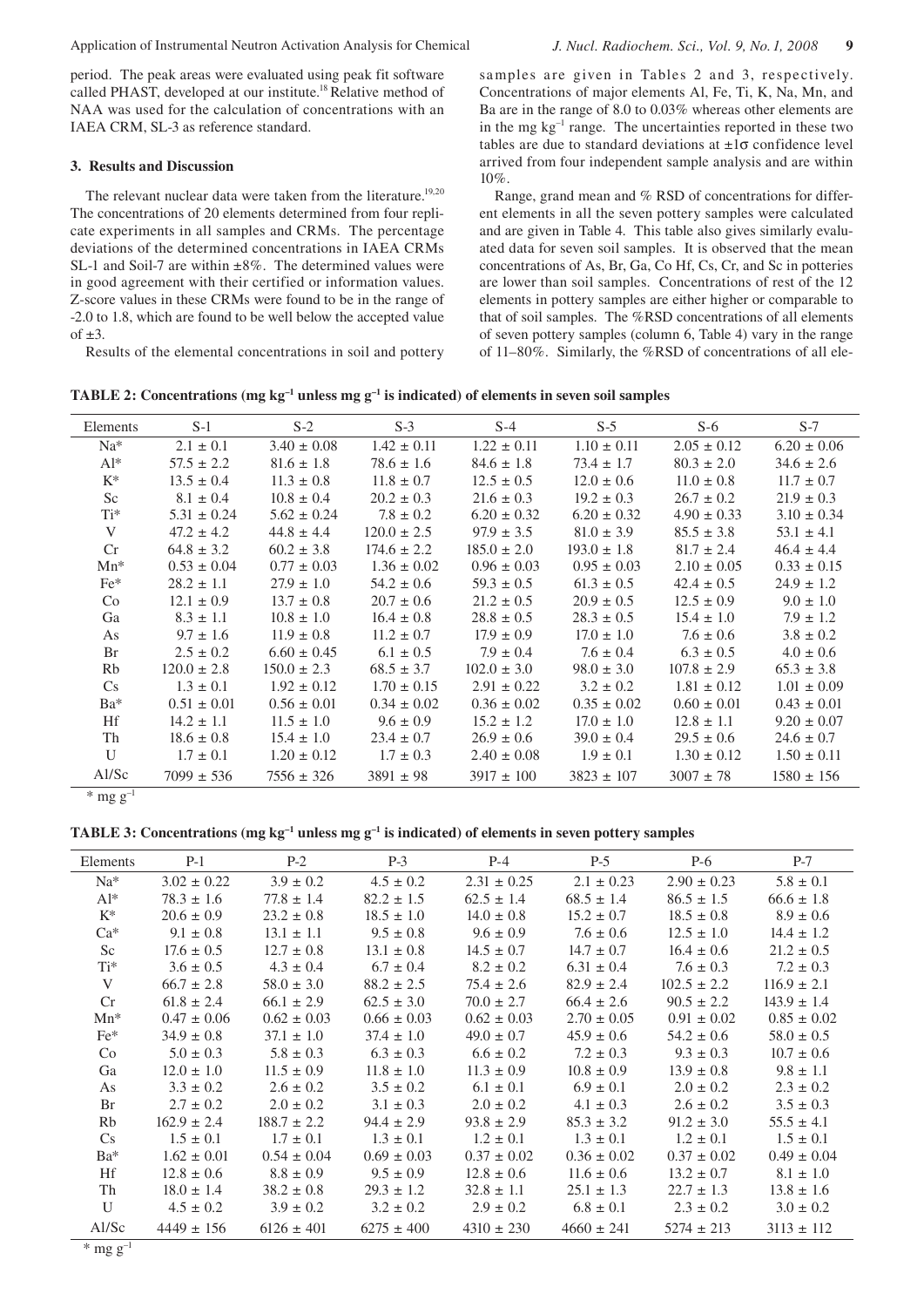period. The peak areas were evaluated using peak fit software called PHAST, developed at our institute.18 Relative method of NAA was used for the calculation of concentrations with an IAEA CRM, SL-3 as reference standard.

## **3. Results and Discussion**

The relevant nuclear data were taken from the literature.<sup>19,20</sup> The concentrations of 20 elements determined from four replicate experiments in all samples and CRMs. The percentage deviations of the determined concentrations in IAEA CRMs SL-1 and Soil-7 are within  $\pm 8\%$ . The determined values were in good agreement with their certified or information values. Z-score values in these CRMs were found to be in the range of -2.0 to 1.8, which are found to be well below the accepted value  $of +3$ .

Results of the elemental concentrations in soil and pottery

samples are given in Tables 2 and 3, respectively. Concentrations of major elements Al, Fe, Ti, K, Na, Mn, and Ba are in the range of 8.0 to 0.03% whereas other elements are in the mg  $kg^{-1}$  range. The uncertainties reported in these two tables are due to standard deviations at  $\pm 1\sigma$  confidence level arrived from four independent sample analysis and are within 10%.

Range, grand mean and % RSD of concentrations for different elements in all the seven pottery samples were calculated and are given in Table 4. This table also gives similarly evaluated data for seven soil samples. It is observed that the mean concentrations of As, Br, Ga, Co Hf, Cs, Cr, and Sc in potteries are lower than soil samples. Concentrations of rest of the 12 elements in pottery samples are either higher or comparable to that of soil samples. The %RSD concentrations of all elements of seven pottery samples (column 6, Table 4) vary in the range of 11–80%. Similarly, the %RSD of concentrations of all ele-

**TABLE 2: Concentrations (mg kg<sup>-1</sup> unless mg g<sup>-1</sup> is indicated) of elements in seven soil samples** 

| Elements | $S-1$           | $S-2$           | $S-3$           | $S-4$           | $S-5$           | $S-6$           | $S-7$           |
|----------|-----------------|-----------------|-----------------|-----------------|-----------------|-----------------|-----------------|
| $Na*$    | $2.1 \pm 0.1$   | $3.40 \pm 0.08$ | $1.42 \pm 0.11$ | $1.22 \pm 0.11$ | $1.10 \pm 0.11$ | $2.05 \pm 0.12$ | $6.20 \pm 0.06$ |
| $Al^*$   | $57.5 \pm 2.2$  | $81.6 \pm 1.8$  | $78.6 \pm 1.6$  | $84.6 \pm 1.8$  | $73.4 \pm 1.7$  | $80.3 \pm 2.0$  | $34.6 \pm 2.6$  |
| $K^*$    | $13.5 \pm 0.4$  | $11.3 \pm 0.8$  | $11.8 \pm 0.7$  | $12.5 \pm 0.5$  | $12.0 \pm 0.6$  | $11.0 \pm 0.8$  | $11.7 \pm 0.7$  |
| Sc       | $8.1 \pm 0.4$   | $10.8 \pm 0.4$  | $20.2 \pm 0.3$  | $21.6 \pm 0.3$  | $19.2 \pm 0.3$  | $26.7 \pm 0.2$  | $21.9 \pm 0.3$  |
| Ti*      | $5.31 \pm 0.24$ | $5.62 \pm 0.24$ | $7.8 \pm 0.2$   | $6.20 \pm 0.32$ | $6.20 \pm 0.32$ | $4.90 \pm 0.33$ | $3.10 \pm 0.34$ |
| V        | $47.2 \pm 4.2$  | $44.8 \pm 4.4$  | $120.0 \pm 2.5$ | $97.9 \pm 3.5$  | $81.0 \pm 3.9$  | $85.5 \pm 3.8$  | $53.1 \pm 4.1$  |
| Cr       | $64.8 \pm 3.2$  | $60.2 \pm 3.8$  | $174.6 \pm 2.2$ | $185.0 \pm 2.0$ | $193.0 \pm 1.8$ | $81.7 \pm 2.4$  | $46.4 \pm 4.4$  |
| $Mn^*$   | $0.53 \pm 0.04$ | $0.77 \pm 0.03$ | $1.36 \pm 0.02$ | $0.96 \pm 0.03$ | $0.95 \pm 0.03$ | $2.10 \pm 0.05$ | $0.33 \pm 0.15$ |
| $Fe*$    | $28.2 \pm 1.1$  | $27.9 \pm 1.0$  | $54.2 \pm 0.6$  | $59.3 \pm 0.5$  | $61.3 \pm 0.5$  | $42.4 \pm 0.5$  | $24.9 \pm 1.2$  |
| Co       | $12.1 \pm 0.9$  | $13.7 \pm 0.8$  | $20.7 \pm 0.6$  | $21.2 \pm 0.5$  | $20.9 \pm 0.5$  | $12.5 \pm 0.9$  | $9.0 \pm 1.0$   |
| Ga       | $8.3 \pm 1.1$   | $10.8 \pm 1.0$  | $16.4 \pm 0.8$  | $28.8 \pm 0.5$  | $28.3 \pm 0.5$  | $15.4 \pm 1.0$  | $7.9 \pm 1.2$   |
| As       | $9.7 \pm 1.6$   | $11.9 \pm 0.8$  | $11.2 \pm 0.7$  | $17.9 \pm 0.9$  | $17.0 \pm 1.0$  | $7.6 \pm 0.6$   | $3.8 \pm 0.2$   |
| Br       | $2.5 \pm 0.2$   | $6.60 \pm 0.45$ | $6.1 \pm 0.5$   | $7.9 \pm 0.4$   | $7.6 \pm 0.4$   | $6.3 \pm 0.5$   | $4.0 \pm 0.6$   |
| Rb       | $120.0 \pm 2.8$ | $150.0 \pm 2.3$ | $68.5 \pm 3.7$  | $102.0 \pm 3.0$ | $98.0 \pm 3.0$  | $107.8 \pm 2.9$ | $65.3 \pm 3.8$  |
| Cs       | $1.3 \pm 0.1$   | $1.92 \pm 0.12$ | $1.70 \pm 0.15$ | $2.91 \pm 0.22$ | $3.2 \pm 0.2$   | $1.81 \pm 0.12$ | $1.01 \pm 0.09$ |
| $Ba*$    | $0.51 \pm 0.01$ | $0.56 \pm 0.01$ | $0.34 \pm 0.02$ | $0.36 \pm 0.02$ | $0.35 \pm 0.02$ | $0.60 \pm 0.01$ | $0.43 \pm 0.01$ |
| Hf       | $14.2 \pm 1.1$  | $11.5 \pm 1.0$  | $9.6 \pm 0.9$   | $15.2 \pm 1.2$  | $17.0 \pm 1.0$  | $12.8 \pm 1.1$  | $9.20 \pm 0.07$ |
| Th       | $18.6 \pm 0.8$  | $15.4 \pm 1.0$  | $23.4 \pm 0.7$  | $26.9 \pm 0.6$  | $39.0 \pm 0.4$  | $29.5 \pm 0.6$  | $24.6 \pm 0.7$  |
| U        | $1.7 \pm 0.1$   | $1.20 \pm 0.12$ | $1.7 \pm 0.3$   | $2.40 \pm 0.08$ | $1.9 \pm 0.1$   | $1.30 \pm 0.12$ | $1.50 \pm 0.11$ |
| AI/Sc    | $7099 \pm 536$  | $7556 \pm 326$  | $3891 \pm 98$   | $3917 \pm 100$  | $3823 \pm 107$  | $3007 \pm 78$   | $1580 \pm 156$  |

 $*$  mg g<sup>-1</sup>

**TABLE 3: Concentrations (mg kg–1 unless mg g–1 is indicated) of elements in seven pottery samples**

| Elements | $P-1$           | $P-2$           | $P-3$           | $P-4$           | $P-5$           | $P-6$           | $P-7$           |
|----------|-----------------|-----------------|-----------------|-----------------|-----------------|-----------------|-----------------|
| $Na^*$   | $3.02 \pm 0.22$ | $3.9 \pm 0.2$   | $4.5 \pm 0.2$   | $2.31 \pm 0.25$ | $2.1 \pm 0.23$  | $2.90 \pm 0.23$ | $5.8 \pm 0.1$   |
| $Al^*$   | $78.3 \pm 1.6$  | $77.8 \pm 1.4$  | $82.2 \pm 1.5$  | $62.5 \pm 1.4$  | $68.5 \pm 1.4$  | $86.5 \pm 1.5$  | $66.6 \pm 1.8$  |
| $K^*$    | $20.6 \pm 0.9$  | $23.2 \pm 0.8$  | $18.5 \pm 1.0$  | $14.0 \pm 0.8$  | $15.2 \pm 0.7$  | $18.5 \pm 0.8$  | $8.9 \pm 0.6$   |
| $Ca^*$   | $9.1 \pm 0.8$   | $13.1 \pm 1.1$  | $9.5 \pm 0.8$   | $9.6 \pm 0.9$   | $7.6 \pm 0.6$   | $12.5 \pm 1.0$  | $14.4 \pm 1.2$  |
| Sc       | $17.6 \pm 0.5$  | $12.7 \pm 0.8$  | $13.1 \pm 0.8$  | $14.5 \pm 0.7$  | $14.7 \pm 0.7$  | $16.4 \pm 0.6$  | $21.2 \pm 0.5$  |
| $Ti*$    | $3.6 \pm 0.5$   | $4.3 \pm 0.4$   | $6.7 \pm 0.4$   | $8.2 \pm 0.2$   | $6.31 \pm 0.4$  | $7.6 \pm 0.3$   | $7.2 \pm 0.3$   |
| V        | $66.7 \pm 2.8$  | $58.0 \pm 3.0$  | $88.2 \pm 2.5$  | $75.4 \pm 2.6$  | $82.9 \pm 2.4$  | $102.5 \pm 2.2$ | $116.9 \pm 2.1$ |
| Cr       | $61.8 \pm 2.4$  | $66.1 \pm 2.9$  | $62.5 \pm 3.0$  | $70.0 \pm 2.7$  | $66.4 \pm 2.6$  | $90.5 \pm 2.2$  | $143.9 \pm 1.4$ |
| $Mn*$    | $0.47 \pm 0.06$ | $0.62 \pm 0.03$ | $0.66 \pm 0.03$ | $0.62 \pm 0.03$ | $2.70 \pm 0.05$ | $0.91 \pm 0.02$ | $0.85 \pm 0.02$ |
| $Fe*$    | $34.9 \pm 0.8$  | $37.1 \pm 1.0$  | $37.4 \pm 1.0$  | $49.0 \pm 0.7$  | $45.9 \pm 0.6$  | $54.2 \pm 0.6$  | $58.0 \pm 0.5$  |
| Co       | $5.0 \pm 0.3$   | $5.8 \pm 0.3$   | $6.3 \pm 0.3$   | $6.6 \pm 0.2$   | $7.2 \pm 0.3$   | $9.3 \pm 0.3$   | $10.7 \pm 0.6$  |
| Ga       | $12.0 \pm 1.0$  | $11.5 \pm 0.9$  | $11.8 \pm 1.0$  | $11.3 \pm 0.9$  | $10.8 \pm 0.9$  | $13.9 \pm 0.8$  | $9.8 \pm 1.1$   |
| As       | $3.3 \pm 0.2$   | $2.6 \pm 0.2$   | $3.5 \pm 0.2$   | $6.1 \pm 0.1$   | $6.9 \pm 0.1$   | $2.0 \pm 0.2$   | $2.3 \pm 0.2$   |
| Br       | $2.7 \pm 0.2$   | $2.0 \pm 0.2$   | $3.1 \pm 0.3$   | $2.0 \pm 0.2$   | $4.1 \pm 0.3$   | $2.6 \pm 0.2$   | $3.5 \pm 0.3$   |
| Rb       | $162.9 \pm 2.4$ | $188.7 \pm 2.2$ | $94.4 \pm 2.9$  | $93.8 \pm 2.9$  | $85.3 \pm 3.2$  | $91.2 \pm 3.0$  | $55.5 \pm 4.1$  |
| Cs       | $1.5 \pm 0.1$   | $1.7 \pm 0.1$   | $1.3 \pm 0.1$   | $1.2 \pm 0.1$   | $1.3 \pm 0.1$   | $1.2 \pm 0.1$   | $1.5 \pm 0.1$   |
| $Ba^*$   | $1.62 \pm 0.01$ | $0.54 \pm 0.04$ | $0.69 \pm 0.03$ | $0.37 \pm 0.02$ | $0.36 \pm 0.02$ | $0.37 \pm 0.02$ | $0.49 \pm 0.04$ |
| Hf       | $12.8 \pm 0.6$  | $8.8 \pm 0.9$   | $9.5 \pm 0.9$   | $12.8 \pm 0.6$  | $11.6 \pm 0.6$  | $13.2 \pm 0.7$  | $8.1 \pm 1.0$   |
| Th       | $18.0 \pm 1.4$  | $38.2 \pm 0.8$  | $29.3 \pm 1.2$  | $32.8 \pm 1.1$  | $25.1 \pm 1.3$  | $22.7 \pm 1.3$  | $13.8 \pm 1.6$  |
| U        | $4.5 \pm 0.2$   | $3.9 \pm 0.2$   | $3.2 \pm 0.2$   | $2.9 \pm 0.2$   | $6.8 \pm 0.1$   | $2.3 \pm 0.2$   | $3.0 \pm 0.2$   |
| AI/Sc    | $4449 \pm 156$  | $6126 \pm 401$  | $6275 \pm 400$  | $4310 \pm 230$  | $4660 \pm 241$  | $5274 \pm 213$  | $3113 \pm 112$  |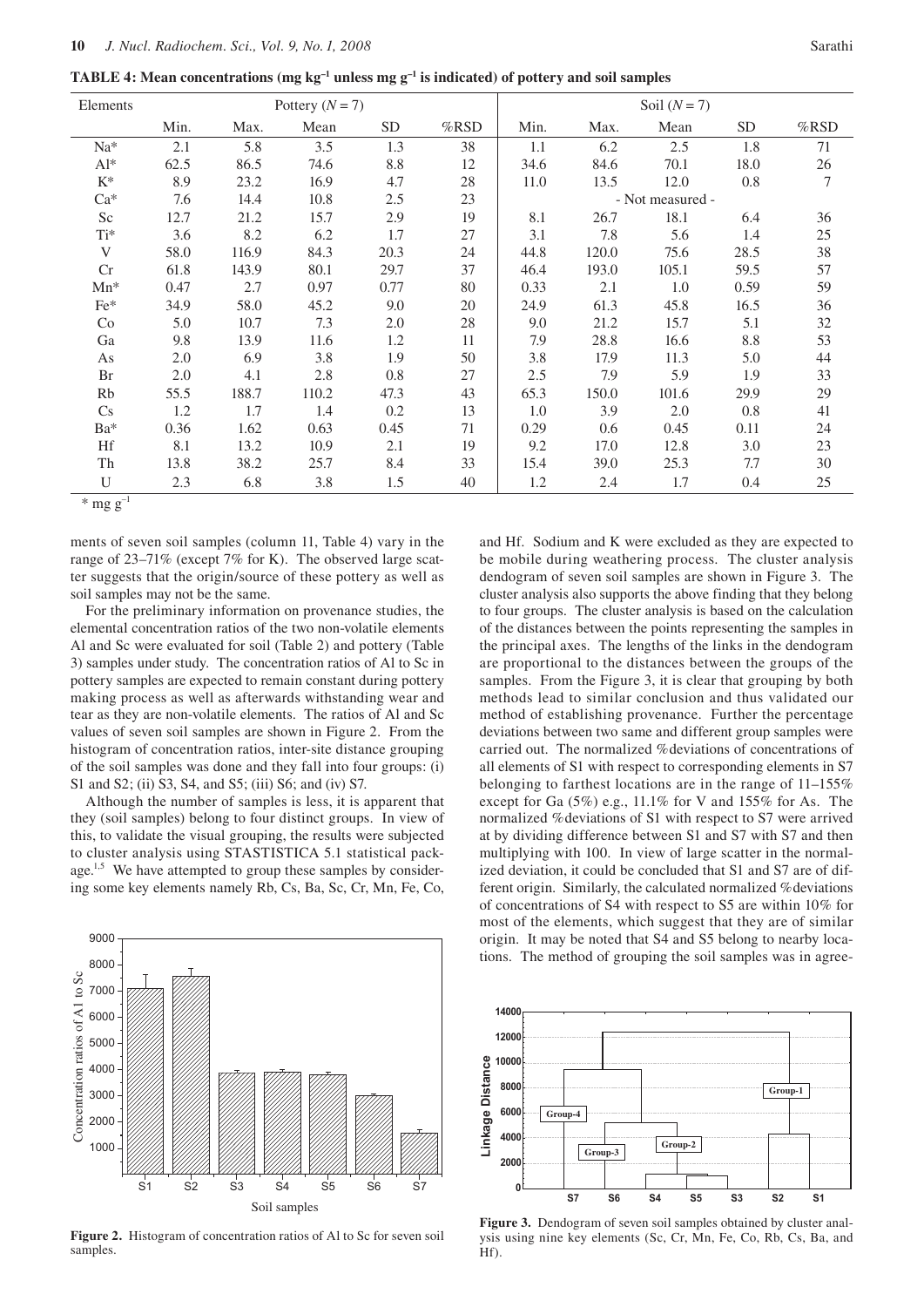**TABLE 4: Mean concentrations (mg kg<sup>-1</sup> unless mg g<sup>-1</sup> is indicated) of pottery and soil samples** 

| Elements | Pottery $(N = 7)$ |       |       |                 |         | Soil $(N = 7)$ |       |                  |                 |         |
|----------|-------------------|-------|-------|-----------------|---------|----------------|-------|------------------|-----------------|---------|
|          | Min.              | Max.  | Mean  | SD <sub>.</sub> | $%$ RSD | Min.           | Max.  | Mean             | SD <sub>.</sub> | $%$ RSD |
| Na*      | 2.1               | 5.8   | 3.5   | 1.3             | 38      | 1.1            | 6.2   | 2.5              | 1.8             | 71      |
| $Al^*$   | 62.5              | 86.5  | 74.6  | 8.8             | 12      | 34.6           | 84.6  | 70.1             | 18.0            | 26      |
| $K^*$    | 8.9               | 23.2  | 16.9  | 4.7             | 28      | 11.0           | 13.5  | 12.0             | 0.8             | 7       |
| $Ca^*$   | 7.6               | 14.4  | 10.8  | 2.5             | 23      |                |       | - Not measured - |                 |         |
| Sc       | 12.7              | 21.2  | 15.7  | 2.9             | 19      | 8.1            | 26.7  | 18.1             | 6.4             | 36      |
| $Ti^*$   | 3.6               | 8.2   | 6.2   | 1.7             | 27      | 3.1            | 7.8   | 5.6              | 1.4             | 25      |
| V        | 58.0              | 116.9 | 84.3  | 20.3            | 24      | 44.8           | 120.0 | 75.6             | 28.5            | 38      |
| Cr       | 61.8              | 143.9 | 80.1  | 29.7            | 37      | 46.4           | 193.0 | 105.1            | 59.5            | 57      |
| $Mn^*$   | 0.47              | 2.7   | 0.97  | 0.77            | 80      | 0.33           | 2.1   | 1.0              | 0.59            | 59      |
| $Fe*$    | 34.9              | 58.0  | 45.2  | 9.0             | 20      | 24.9           | 61.3  | 45.8             | 16.5            | 36      |
| Co       | 5.0               | 10.7  | 7.3   | 2.0             | 28      | 9.0            | 21.2  | 15.7             | 5.1             | 32      |
| Ga       | 9.8               | 13.9  | 11.6  | 1.2             | 11      | 7.9            | 28.8  | 16.6             | 8.8             | 53      |
| As       | 2.0               | 6.9   | 3.8   | 1.9             | 50      | 3.8            | 17.9  | 11.3             | 5.0             | 44      |
| Br       | 2.0               | 4.1   | 2.8   | 0.8             | 27      | 2.5            | 7.9   | 5.9              | 1.9             | 33      |
| Rb       | 55.5              | 188.7 | 110.2 | 47.3            | 43      | 65.3           | 150.0 | 101.6            | 29.9            | 29      |
| Cs       | 1.2               | 1.7   | 1.4   | 0.2             | 13      | 1.0            | 3.9   | 2.0              | 0.8             | 41      |
| Ba*      | 0.36              | 1.62  | 0.63  | 0.45            | 71      | 0.29           | 0.6   | 0.45             | 0.11            | 24      |
| Hf       | 8.1               | 13.2  | 10.9  | 2.1             | 19      | 9.2            | 17.0  | 12.8             | 3.0             | 23      |
| Th       | 13.8              | 38.2  | 25.7  | 8.4             | 33      | 15.4           | 39.0  | 25.3             | 7.7             | 30      |
| U        | 2.3               | 6.8   | 3.8   | 1.5             | 40      | 1.2            | 2.4   | 1.7              | 0.4             | 25      |

 $*$  mg g<sup>-1</sup>

ments of seven soil samples (column 11, Table 4) vary in the range of 23–71% (except 7% for K). The observed large scatter suggests that the origin/source of these pottery as well as soil samples may not be the same.

For the preliminary information on provenance studies, the elemental concentration ratios of the two non-volatile elements Al and Sc were evaluated for soil (Table 2) and pottery (Table 3) samples under study. The concentration ratios of Al to Sc in pottery samples are expected to remain constant during pottery making process as well as afterwards withstanding wear and tear as they are non-volatile elements. The ratios of Al and Sc values of seven soil samples are shown in Figure 2. From the histogram of concentration ratios, inter-site distance grouping of the soil samples was done and they fall into four groups: (i) S1 and S2; (ii) S3, S4, and S5; (iii) S6; and (iv) S7.

Although the number of samples is less, it is apparent that they (soil samples) belong to four distinct groups. In view of this, to validate the visual grouping, the results were subjected to cluster analysis using STASTISTICA 5.1 statistical package.<sup>1,5</sup> We have attempted to group these samples by considering some key elements namely Rb, Cs, Ba, Sc, Cr, Mn, Fe, Co,



**Figure 2.** Histogram of concentration ratios of Al to Sc for seven soil samples.

and Hf. Sodium and K were excluded as they are expected to be mobile during weathering process. The cluster analysis dendogram of seven soil samples are shown in Figure 3. The cluster analysis also supports the above finding that they belong to four groups. The cluster analysis is based on the calculation of the distances between the points representing the samples in the principal axes. The lengths of the links in the dendogram are proportional to the distances between the groups of the samples. From the Figure 3, it is clear that grouping by both methods lead to similar conclusion and thus validated our method of establishing provenance. Further the percentage deviations between two same and different group samples were carried out. The normalized %deviations of concentrations of all elements of S1 with respect to corresponding elements in S7 belonging to farthest locations are in the range of 11–155% except for Ga (5%) e.g., 11.1% for V and 155% for As. The normalized %deviations of S1 with respect to S7 were arrived at by dividing difference between S1 and S7 with S7 and then multiplying with 100. In view of large scatter in the normalized deviation, it could be concluded that S1 and S7 are of different origin. Similarly, the calculated normalized %deviations of concentrations of S4 with respect to S5 are within 10% for most of the elements, which suggest that they are of similar origin. It may be noted that S4 and S5 belong to nearby locations. The method of grouping the soil samples was in agree-



**Figure 3.** Dendogram of seven soil samples obtained by cluster analysis using nine key elements (Sc, Cr, Mn, Fe, Co, Rb, Cs, Ba, and Hf).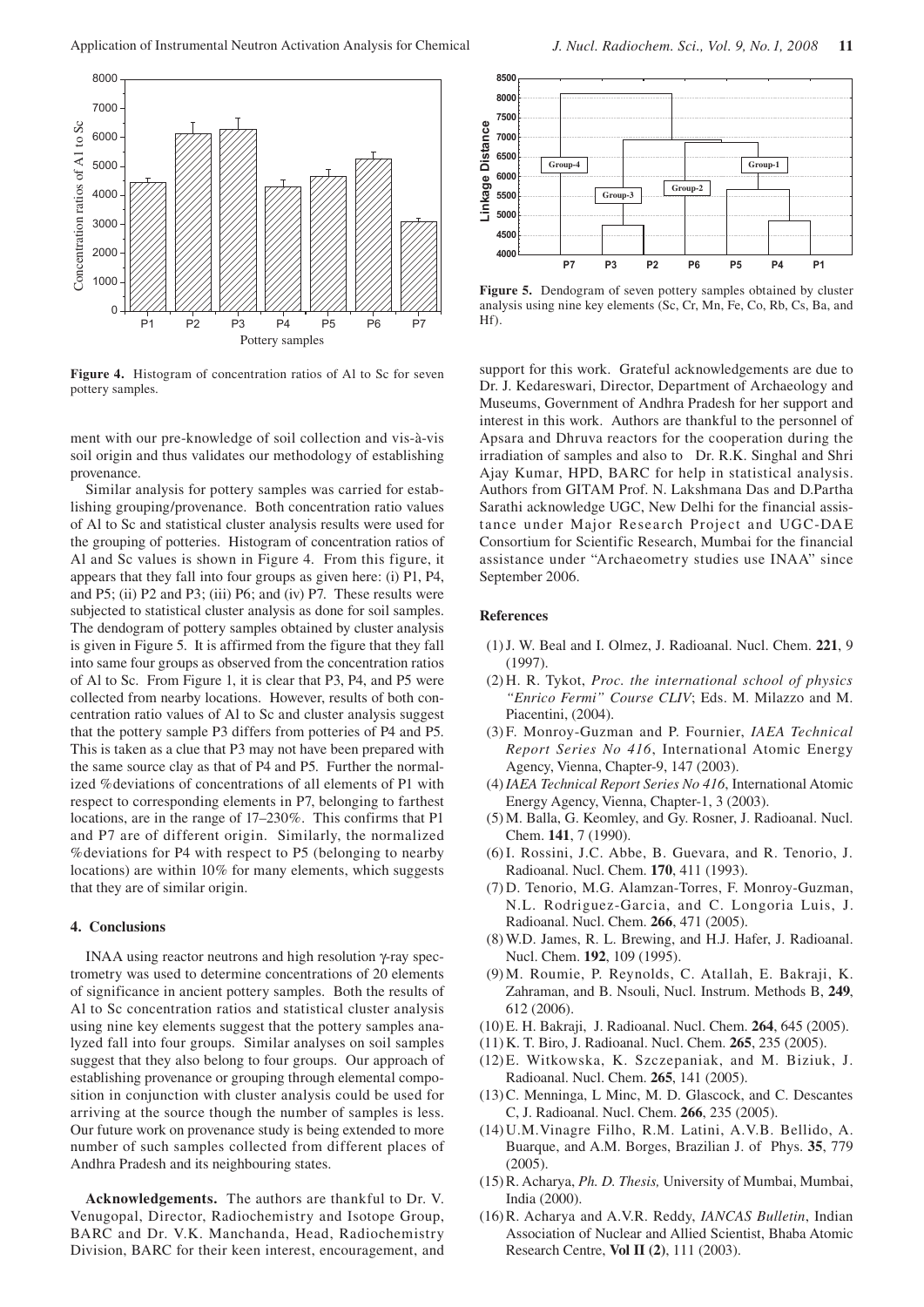

**Figure 4.** Histogram of concentration ratios of Al to Sc for seven pottery samples.

ment with our pre-knowledge of soil collection and vis-à-vis soil origin and thus validates our methodology of establishing provenance.

Similar analysis for pottery samples was carried for establishing grouping/provenance. Both concentration ratio values of Al to Sc and statistical cluster analysis results were used for the grouping of potteries. Histogram of concentration ratios of Al and Sc values is shown in Figure 4. From this figure, it appears that they fall into four groups as given here: (i) P1, P4, and P5; (ii) P2 and P3; (iii) P6; and (iv) P7. These results were subjected to statistical cluster analysis as done for soil samples. The dendogram of pottery samples obtained by cluster analysis is given in Figure 5. It is affirmed from the figure that they fall into same four groups as observed from the concentration ratios of Al to Sc. From Figure 1, it is clear that P3, P4, and P5 were collected from nearby locations. However, results of both concentration ratio values of Al to Sc and cluster analysis suggest that the pottery sample P3 differs from potteries of P4 and P5. This is taken as a clue that P3 may not have been prepared with the same source clay as that of P4 and P5. Further the normalized %deviations of concentrations of all elements of P1 with respect to corresponding elements in P7, belonging to farthest locations, are in the range of 17–230%. This confirms that P1 and P7 are of different origin. Similarly, the normalized %deviations for P4 with respect to P5 (belonging to nearby locations) are within 10% for many elements, which suggests that they are of similar origin.

## **4. Conclusions**

INAA using reactor neutrons and high resolution γ-ray spectrometry was used to determine concentrations of 20 elements of significance in ancient pottery samples. Both the results of Al to Sc concentration ratios and statistical cluster analysis using nine key elements suggest that the pottery samples analyzed fall into four groups. Similar analyses on soil samples suggest that they also belong to four groups. Our approach of establishing provenance or grouping through elemental composition in conjunction with cluster analysis could be used for arriving at the source though the number of samples is less. Our future work on provenance study is being extended to more number of such samples collected from different places of Andhra Pradesh and its neighbouring states.

**Acknowledgements.** The authors are thankful to Dr. V. Venugopal, Director, Radiochemistry and Isotope Group, BARC and Dr. V.K. Manchanda, Head, Radiochemistry Division, BARC for their keen interest, encouragement, and



**Figure 5.** Dendogram of seven pottery samples obtained by cluster analysis using nine key elements (Sc, Cr, Mn, Fe, Co, Rb, Cs, Ba, and Hf).

support for this work. Grateful acknowledgements are due to Dr. J. Kedareswari, Director, Department of Archaeology and Museums, Government of Andhra Pradesh for her support and interest in this work. Authors are thankful to the personnel of Apsara and Dhruva reactors for the cooperation during the irradiation of samples and also to Dr. R.K. Singhal and Shri Ajay Kumar, HPD, BARC for help in statistical analysis. Authors from GITAM Prof. N. Lakshmana Das and D.Partha Sarathi acknowledge UGC, New Delhi for the financial assistance under Major Research Project and UGC-DAE Consortium for Scientific Research, Mumbai for the financial assistance under "Archaeometry studies use INAA" since September 2006.

#### **References**

- (1) J. W. Beal and I. Olmez, J. Radioanal. Nucl. Chem. **221**, 9 (1997).
- (2) H. R. Tykot, *Proc. the international school of physics "Enrico Fermi" Course CLIV*; Eds. M. Milazzo and M. Piacentini, (2004).
- (3) F. Monroy-Guzman and P. Fournier, *IAEA Technical Report Series No 416*, International Atomic Energy Agency, Vienna, Chapter-9, 147 (2003).
- (4) *IAEA Technical Report Series No 416*, International Atomic Energy Agency, Vienna, Chapter-1, 3 (2003).
- (5) M. Balla, G. Keomley, and Gy. Rosner, J. Radioanal. Nucl. Chem. **141**, 7 (1990).
- (6) I. Rossini, J.C. Abbe, B. Guevara, and R. Tenorio, J. Radioanal. Nucl. Chem. **170**, 411 (1993).
- (7) D. Tenorio, M.G. Alamzan-Torres, F. Monroy-Guzman, N.L. Rodriguez-Garcia, and C. Longoria Luis, J. Radioanal. Nucl. Chem. **266**, 471 (2005).
- (8) W.D. James, R. L. Brewing, and H.J. Hafer, J. Radioanal. Nucl. Chem. **192**, 109 (1995).
- (9) M. Roumie, P. Reynolds, C. Atallah, E. Bakraji, K. Zahraman, and B. Nsouli, Nucl. Instrum. Methods B, **249**, 612 (2006).
- (10) E. H. Bakraji, J. Radioanal. Nucl. Chem. **264**, 645 (2005).
- (11) K. T. Biro, J. Radioanal. Nucl. Chem. **265**, 235 (2005).
- (12) E. Witkowska, K. Szczepaniak, and M. Biziuk, J. Radioanal. Nucl. Chem. **265**, 141 (2005).
- (13) C. Menninga, L Minc, M. D. Glascock, and C. Descantes C, J. Radioanal. Nucl. Chem. **266**, 235 (2005).
- (14) U.M.Vinagre Filho, R.M. Latini, A.V.B. Bellido, A. Buarque, and A.M. Borges, Brazilian J. of Phys. **35**, 779  $(2005)$ .
- (15) R. Acharya, *Ph. D. Thesis,* University of Mumbai, Mumbai, India (2000).
- (16) R. Acharya and A.V.R. Reddy, *IANCAS Bulletin*, Indian Association of Nuclear and Allied Scientist, Bhaba Atomic Research Centre, **Vol II (2)**, 111 (2003).